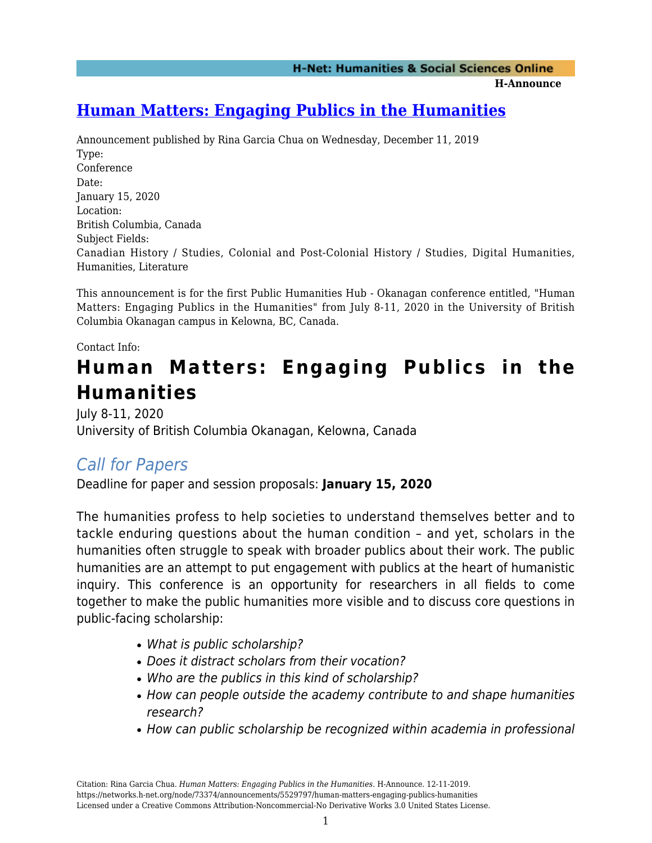**H-Announce** 

## **[Human Matters: Engaging Publics in the Humanities](https://networks.h-net.org/node/73374/announcements/5529797/human-matters-engaging-publics-humanities)**

Announcement published by Rina Garcia Chua on Wednesday, December 11, 2019 Type: Conference Date: January 15, 2020 Location: British Columbia, Canada Subject Fields: Canadian History / Studies, Colonial and Post-Colonial History / Studies, Digital Humanities, Humanities, Literature

This announcement is for the first Public Humanities Hub - Okanagan conference entitled, "Human Matters: Engaging Publics in the Humanities" from July 8-11, 2020 in the University of British Columbia Okanagan campus in Kelowna, BC, Canada.

Contact Info:

# **Human Matters: Engaging Publics in the Humanities**

July 8-11, 2020 University of British Columbia Okanagan, Kelowna, Canada

### Call for Papers

Deadline for paper and session proposals: **January 15, 2020**

The humanities profess to help societies to understand themselves better and to tackle enduring questions about the human condition – and yet, scholars in the humanities often struggle to speak with broader publics about their work. The public humanities are an attempt to put engagement with publics at the heart of humanistic inquiry. This conference is an opportunity for researchers in all fields to come together to make the public humanities more visible and to discuss core questions in public-facing scholarship:

- What is public scholarship?
- Does it distract scholars from their vocation?
- Who are the publics in this kind of scholarship?
- How can people outside the academy contribute to and shape humanities research?
- How can public scholarship be recognized within academia in professional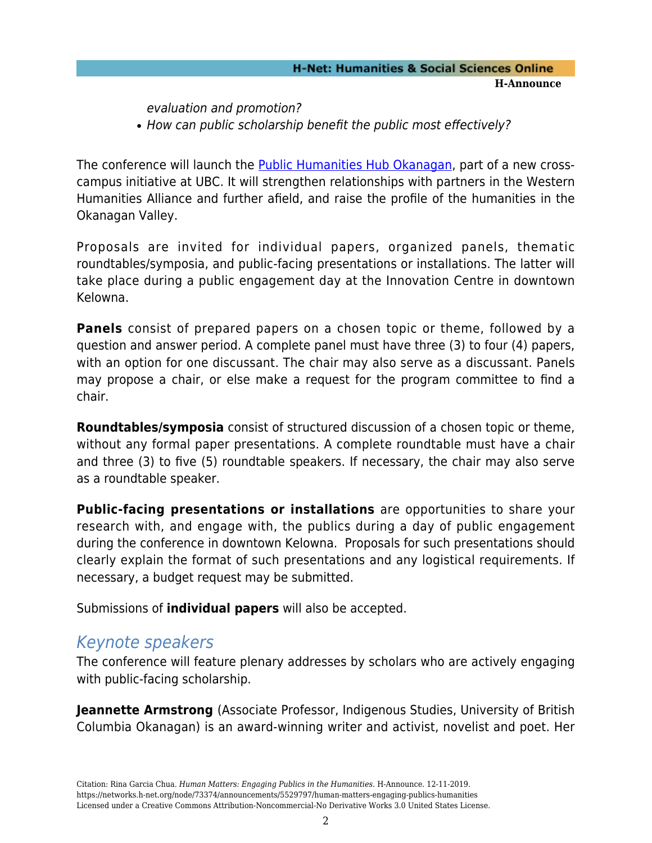#### **H-Net: Humanities & Social Sciences Online H-Announce**

evaluation and promotion? • How can public scholarship benefit the public most effectively?

The conference will launch the [Public Humanities Hub Okanagan,](https://public-humanities.ok.ubc.ca/) part of a new crosscampus initiative at UBC. It will strengthen relationships with partners in the Western Humanities Alliance and further afield, and raise the profile of the humanities in the Okanagan Valley.

Proposals are invited for individual papers, organized panels, thematic roundtables/symposia, and public-facing presentations or installations. The latter will take place during a public engagement day at the Innovation Centre in downtown Kelowna.

**Panels** consist of prepared papers on a chosen topic or theme, followed by a question and answer period. A complete panel must have three (3) to four (4) papers, with an option for one discussant. The chair may also serve as a discussant. Panels may propose a chair, or else make a request for the program committee to find a chair.

**Roundtables/symposia** consist of structured discussion of a chosen topic or theme, without any formal paper presentations. A complete roundtable must have a chair and three (3) to five (5) roundtable speakers. If necessary, the chair may also serve as a roundtable speaker.

**Public-facing presentations or installations** are opportunities to share your research with, and engage with, the publics during a day of public engagement during the conference in downtown Kelowna. Proposals for such presentations should clearly explain the format of such presentations and any logistical requirements. If necessary, a budget request may be submitted.

Submissions of **individual papers** will also be accepted.

### Keynote speakers

The conference will feature plenary addresses by scholars who are actively engaging with public-facing scholarship.

**Jeannette Armstrong** (Associate Professor, Indigenous Studies, University of British Columbia Okanagan) is an award-winning writer and activist, novelist and poet. Her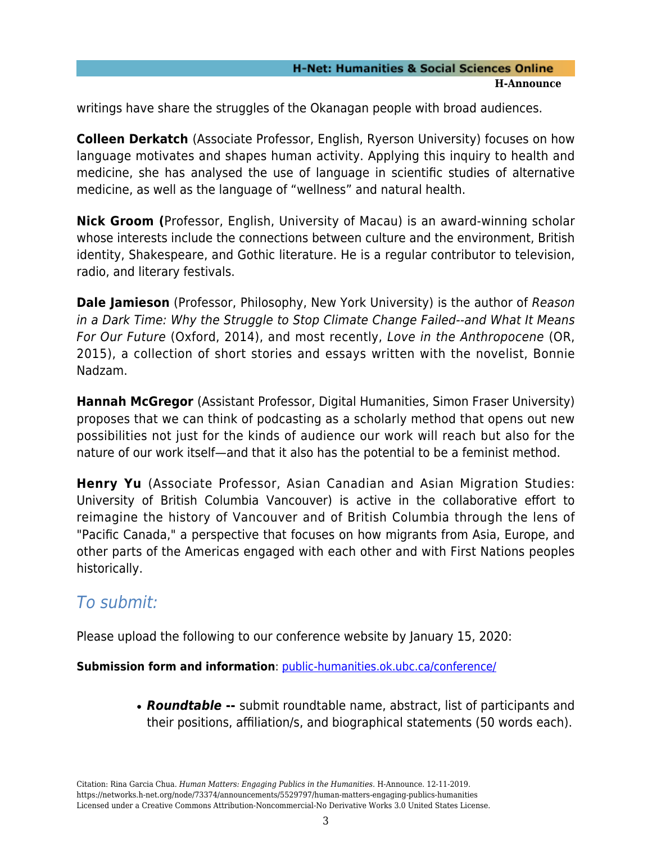#### **H-Net: Humanities & Social Sciences Online H-Announce**

writings have share the struggles of the Okanagan people with broad audiences.

**Colleen Derkatch** (Associate Professor, English, Ryerson University) focuses on how language motivates and shapes human activity. Applying this inquiry to health and medicine, she has analysed the use of language in scientific studies of alternative medicine, as well as the language of "wellness" and natural health.

**Nick Groom (**Professor, English, University of Macau) is an award-winning scholar whose interests include the connections between culture and the environment, British identity, Shakespeare, and Gothic literature. He is a regular contributor to television, radio, and literary festivals.

**Dale Jamieson** (Professor, Philosophy, New York University) is the author of Reason in a Dark Time: Why the Struggle to Stop Climate Change Failed--and What It Means For Our Future (Oxford, 2014), and most recently, Love in the Anthropocene (OR, 2015), a collection of short stories and essays written with the novelist, Bonnie Nadzam.

**Hannah McGregor** (Assistant Professor, Digital Humanities, Simon Fraser University) proposes that we can think of podcasting as a scholarly method that opens out new possibilities not just for the kinds of audience our work will reach but also for the nature of our work itself—and that it also has the potential to be a feminist method.

**Henry Yu** (Associate Professor, Asian Canadian and Asian Migration Studies: University of British Columbia Vancouver) is active in the collaborative effort to reimagine the history of Vancouver and of British Columbia through the lens of "Pacific Canada," a perspective that focuses on how migrants from Asia, Europe, and other parts of the Americas engaged with each other and with First Nations peoples historically.

### To submit:

Please upload the following to our conference website by January 15, 2020:

**Submission form and information**: [public-humanities.ok.ubc.ca/conference/](https://public-humanities.ok.ubc.ca/conference/)

*Roundtable* **--** submit roundtable name, abstract, list of participants and their positions, affiliation/s, and biographical statements (50 words each).

Citation: Rina Garcia Chua. *Human Matters: Engaging Publics in the Humanities*. H-Announce. 12-11-2019. https://networks.h-net.org/node/73374/announcements/5529797/human-matters-engaging-publics-humanities Licensed under a Creative Commons Attribution-Noncommercial-No Derivative Works 3.0 United States License.